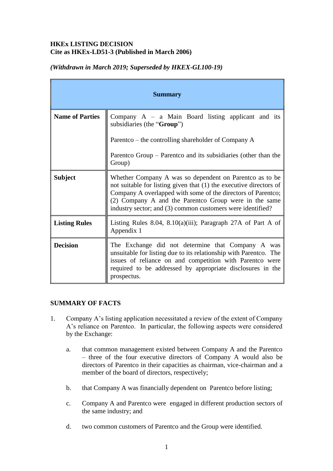## **HKEx LISTING DECISION Cite as HKEx-LD51-3 (Published in March 2006)**

| <b>Summary</b>         |                                                                                                                                                                                                                                                                                                                       |
|------------------------|-----------------------------------------------------------------------------------------------------------------------------------------------------------------------------------------------------------------------------------------------------------------------------------------------------------------------|
| <b>Name of Parties</b> | Company $A - a$ Main Board listing applicant and its<br>subsidiaries (the "Group")                                                                                                                                                                                                                                    |
|                        | Parentco – the controlling shareholder of Company A                                                                                                                                                                                                                                                                   |
|                        | Parenteo Group – Parenteo and its subsidiaries (other than the<br>Group)                                                                                                                                                                                                                                              |
| <b>Subject</b>         | Whether Company A was so dependent on Parentco as to be<br>not suitable for listing given that (1) the executive directors of<br>Company A overlapped with some of the directors of Parentco;<br>(2) Company A and the Parent co Group were in the same<br>industry sector; and (3) common customers were identified? |
| <b>Listing Rules</b>   | Listing Rules 8.04, 8.10(a)(iii); Paragraph 27A of Part A of<br>Appendix 1                                                                                                                                                                                                                                            |
| <b>Decision</b>        | The Exchange did not determine that Company A was<br>unsuitable for listing due to its relationship with Parentco. The<br>issues of reliance on and competition with Parentco were<br>required to be addressed by appropriate disclosures in the<br>prospectus.                                                       |

## *(Withdrawn in March 2019; Superseded by HKEX-GL100-19)*

### **SUMMARY OF FACTS**

- 1. Company A's listing application necessitated a review of the extent of Company A's reliance on Parentco. In particular, the following aspects were considered by the Exchange:
	- a. that common management existed between Company A and the Parentco – three of the four executive directors of Company A would also be directors of Parentco in their capacities as chairman, vice-chairman and a member of the board of directors, respectively;
	- b. that Company A was financially dependent on Parentco before listing;
	- c. Company A and Parentco were engaged in different production sectors of the same industry; and
	- d. two common customers of Parentco and the Group were identified.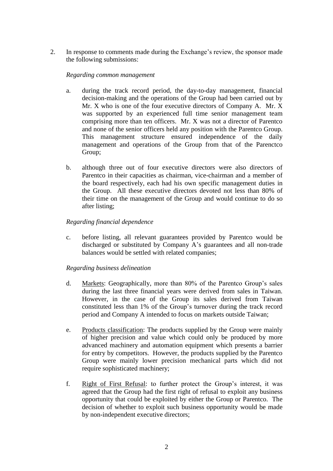2. In response to comments made during the Exchange's review, the sponsor made the following submissions:

#### *Regarding common management*

- a. during the track record period, the day-to-day management, financial decision-making and the operations of the Group had been carried out by Mr. X who is one of the four executive directors of Company A. Mr. X was supported by an experienced full time senior management team comprising more than ten officers. Mr. X was not a director of Parentco and none of the senior officers held any position with the Parentco Group. This management structure ensured independence of the daily management and operations of the Group from that of the Parenctco Group;
- b. although three out of four executive directors were also directors of Parentco in their capacities as chairman, vice-chairman and a member of the board respectively, each had his own specific management duties in the Group. All these executive directors devoted not less than 80% of their time on the management of the Group and would continue to do so after listing;

#### *Regarding financial dependence*

c. before listing, all relevant guarantees provided by Parentco would be discharged or substituted by Company A's guarantees and all non-trade balances would be settled with related companies;

#### *Regarding business delineation*

- d. Markets: Geographically, more than 80% of the Parentco Group's sales during the last three financial years were derived from sales in Taiwan. However, in the case of the Group its sales derived from Taiwan constituted less than 1% of the Group's turnover during the track record period and Company A intended to focus on markets outside Taiwan;
- e. Products classification: The products supplied by the Group were mainly of higher precision and value which could only be produced by more advanced machinery and automation equipment which presents a barrier for entry by competitors. However, the products supplied by the Parentco Group were mainly lower precision mechanical parts which did not require sophisticated machinery;
- f. Right of First Refusal: to further protect the Group's interest, it was agreed that the Group had the first right of refusal to exploit any business opportunity that could be exploited by either the Group or Parentco. The decision of whether to exploit such business opportunity would be made by non-independent executive directors;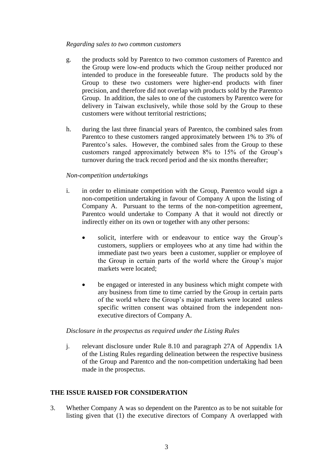#### *Regarding sales to two common customers*

- g. the products sold by Parentco to two common customers of Parentco and the Group were low-end products which the Group neither produced nor intended to produce in the foreseeable future. The products sold by the Group to these two customers were higher-end products with finer precision, and therefore did not overlap with products sold by the Parentco Group. In addition, the sales to one of the customers by Parentco were for delivery in Taiwan exclusively, while those sold by the Group to these customers were without territorial restrictions;
- h. during the last three financial years of Parentco, the combined sales from Parentco to these customers ranged approximately between 1% to 3% of Parentco's sales. However, the combined sales from the Group to these customers ranged approximately between 8% to 15% of the Group's turnover during the track record period and the six months thereafter;

#### *Non-competition undertakings*

- i. in order to eliminate competition with the Group, Parentco would sign a non-competition undertaking in favour of Company A upon the listing of Company A. Pursuant to the terms of the non-competition agreement, Parentco would undertake to Company A that it would not directly or indirectly either on its own or together with any other persons:
	- solicit, interfere with or endeavour to entice way the Group's customers, suppliers or employees who at any time had within the immediate past two years been a customer, supplier or employee of the Group in certain parts of the world where the Group's major markets were located;
	- be engaged or interested in any business which might compete with any business from time to time carried by the Group in certain parts of the world where the Group's major markets were located unless specific written consent was obtained from the independent nonexecutive directors of Company A.

#### *Disclosure in the prospectus as required under the Listing Rules*

j. relevant disclosure under Rule 8.10 and paragraph 27A of Appendix 1A of the Listing Rules regarding delineation between the respective business of the Group and Parentco and the non-competition undertaking had been made in the prospectus.

### **THE ISSUE RAISED FOR CONSIDERATION**

3. Whether Company A was so dependent on the Parentco as to be not suitable for listing given that (1) the executive directors of Company A overlapped with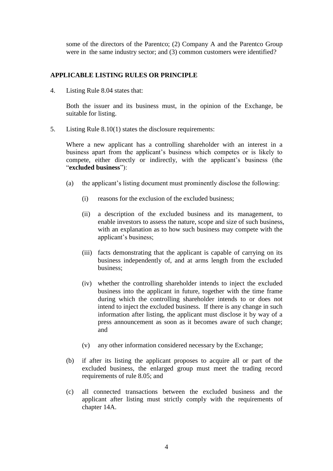some of the directors of the Parentco; (2) Company A and the Parentco Group were in the same industry sector; and (3) common customers were identified?

### **APPLICABLE LISTING RULES OR PRINCIPLE**

4. Listing Rule 8.04 states that:

Both the issuer and its business must, in the opinion of the Exchange, be suitable for listing.

5. Listing Rule 8.10(1) states the disclosure requirements:

Where a new applicant has a controlling shareholder with an interest in a business apart from the applicant's business which competes or is likely to compete, either directly or indirectly, with the applicant's business (the "**excluded business**"):

- (a) the applicant's listing document must prominently disclose the following:
	- (i) reasons for the exclusion of the excluded business;
	- (ii) a description of the excluded business and its management, to enable investors to assess the nature, scope and size of such business, with an explanation as to how such business may compete with the applicant's business;
	- (iii) facts demonstrating that the applicant is capable of carrying on its business independently of, and at arms length from the excluded business;
	- (iv) whether the controlling shareholder intends to inject the excluded business into the applicant in future, together with the time frame during which the controlling shareholder intends to or does not intend to inject the excluded business. If there is any change in such information after listing, the applicant must disclose it by way of a press announcement as soon as it becomes aware of such change; and
	- (v) any other information considered necessary by the Exchange;
- (b) if after its listing the applicant proposes to acquire all or part of the excluded business, the enlarged group must meet the trading record requirements of rule 8.05; and
- (c) all connected transactions between the excluded business and the applicant after listing must strictly comply with the requirements of chapter 14A.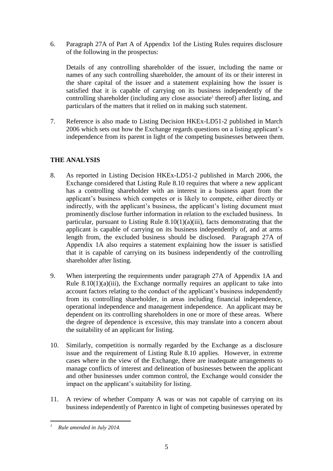6. Paragraph 27A of Part A of Appendix 1of the Listing Rules requires disclosure of the following in the prospectus:

Details of any controlling shareholder of the issuer, including the name or names of any such controlling shareholder, the amount of its or their interest in the share capital of the issuer and a statement explaining how the issuer is satisfied that it is capable of carrying on its business independently of the controlling shareholder (including any close associate<sup>1</sup> thereof) after listing, and particulars of the matters that it relied on in making such statement.

7. Reference is also made to Listing Decision HKEx-LD51-2 published in March 2006 which sets out how the Exchange regards questions on a listing applicant's independence from its parent in light of the competing businesses between them.

# **THE ANALYSIS**

- 8. As reported in Listing Decision HKEx-LD51-2 published in March 2006, the Exchange considered that Listing Rule 8.10 requires that where a new applicant has a controlling shareholder with an interest in a business apart from the applicant's business which competes or is likely to compete, either directly or indirectly, with the applicant's business, the applicant's listing document must prominently disclose further information in relation to the excluded business. In particular, pursuant to Listing Rule  $8.10(1)(a)(iii)$ , facts demonstrating that the applicant is capable of carrying on its business independently of, and at arms length from, the excluded business should be disclosed. Paragraph 27A of Appendix 1A also requires a statement explaining how the issuer is satisfied that it is capable of carrying on its business independently of the controlling shareholder after listing.
- 9. When interpreting the requirements under paragraph 27A of Appendix 1A and Rule  $8.10(1)(a)(iii)$ , the Exchange normally requires an applicant to take into account factors relating to the conduct of the applicant's business independently from its controlling shareholder, in areas including financial independence, operational independence and management independence. An applicant may be dependent on its controlling shareholders in one or more of these areas. Where the degree of dependence is excessive, this may translate into a concern about the suitability of an applicant for listing.
- 10. Similarly, competition is normally regarded by the Exchange as a disclosure issue and the requirement of Listing Rule 8.10 applies. However, in extreme cases where in the view of the Exchange, there are inadequate arrangements to manage conflicts of interest and delineation of businesses between the applicant and other businesses under common control, the Exchange would consider the impact on the applicant's suitability for listing.
- 11. A review of whether Company A was or was not capable of carrying on its business independently of Parentco in light of competing businesses operated by

<sup>1</sup> *<sup>1</sup> Rule amended in July 2014.*